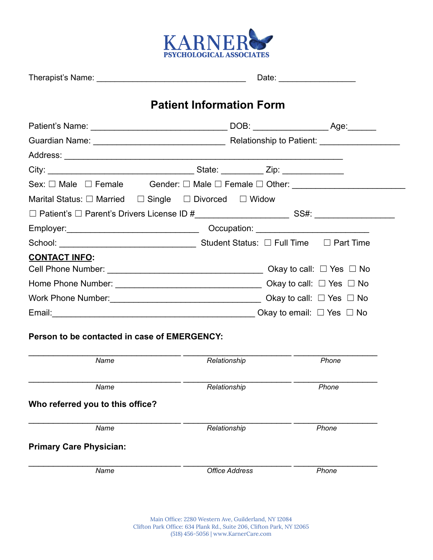

|                                                                                                                                                                                                                                                                                                                                                                                                                                          | <b>Patient Information Form</b> |       |  |
|------------------------------------------------------------------------------------------------------------------------------------------------------------------------------------------------------------------------------------------------------------------------------------------------------------------------------------------------------------------------------------------------------------------------------------------|---------------------------------|-------|--|
|                                                                                                                                                                                                                                                                                                                                                                                                                                          |                                 |       |  |
|                                                                                                                                                                                                                                                                                                                                                                                                                                          |                                 |       |  |
|                                                                                                                                                                                                                                                                                                                                                                                                                                          |                                 |       |  |
|                                                                                                                                                                                                                                                                                                                                                                                                                                          |                                 |       |  |
| Sex: $\Box$ Male $\Box$ Female Gender: $\Box$ Male $\Box$ Female $\Box$ Other:                                                                                                                                                                                                                                                                                                                                                           |                                 |       |  |
| Marital Status: $\Box$ Married $\Box$ Single $\Box$ Divorced $\Box$ Widow                                                                                                                                                                                                                                                                                                                                                                |                                 |       |  |
|                                                                                                                                                                                                                                                                                                                                                                                                                                          |                                 |       |  |
|                                                                                                                                                                                                                                                                                                                                                                                                                                          |                                 |       |  |
|                                                                                                                                                                                                                                                                                                                                                                                                                                          |                                 |       |  |
| <b>CONTACT INFO:</b><br>Cell Phone Number: $\sqrt{\phantom{a}}$                                                                                                                                                                                                                                                                                                                                                                          |                                 |       |  |
| Home Phone Number: $\sqrt{\frac{1}{2} \cdot \frac{1}{2} \cdot \frac{1}{2} \cdot \frac{1}{2} \cdot \frac{1}{2} \cdot \frac{1}{2} \cdot \frac{1}{2} \cdot \frac{1}{2} \cdot \frac{1}{2} \cdot \frac{1}{2} \cdot \frac{1}{2} \cdot \frac{1}{2} \cdot \frac{1}{2} \cdot \frac{1}{2} \cdot \frac{1}{2} \cdot \frac{1}{2} \cdot \frac{1}{2} \cdot \frac{1}{2} \cdot \frac{1}{2} \cdot \frac{1}{2} \cdot \frac{1}{2} \cdot \frac{1}{2} \cdot \$ |                                 |       |  |
| Work Phone Number: $\sqrt{\phantom{a}}$                                                                                                                                                                                                                                                                                                                                                                                                  |                                 |       |  |
| Email: $\Box$ Yes $\Box$ No                                                                                                                                                                                                                                                                                                                                                                                                              |                                 |       |  |
| Person to be contacted in case of EMERGENCY:<br>Name                                                                                                                                                                                                                                                                                                                                                                                     | Relationship                    | Phone |  |
|                                                                                                                                                                                                                                                                                                                                                                                                                                          |                                 |       |  |
| Name                                                                                                                                                                                                                                                                                                                                                                                                                                     | Relationship                    | Phone |  |
| Who referred you to this office?                                                                                                                                                                                                                                                                                                                                                                                                         |                                 |       |  |
| Name                                                                                                                                                                                                                                                                                                                                                                                                                                     | Relationship                    | Phone |  |
| <b>Primary Care Physician:</b>                                                                                                                                                                                                                                                                                                                                                                                                           |                                 |       |  |

*Name Office Address Phone*

 $\_$  , and the set of the set of the set of the set of the set of the set of the set of the set of the set of the set of the set of the set of the set of the set of the set of the set of the set of the set of the set of th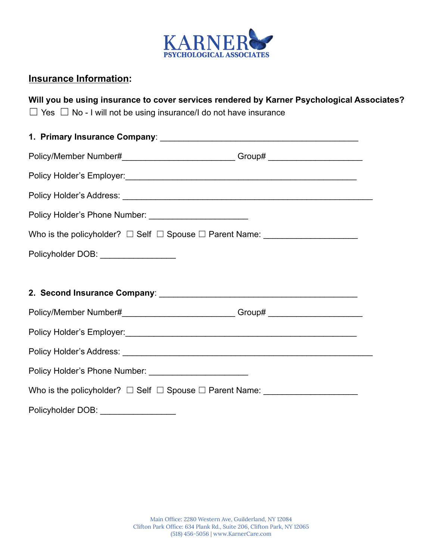

### **Insurance Information:**

**Will you be using insurance to cover services rendered by Karner Psychological Associates?**

 $\Box$  Yes  $\Box$  No - I will not be using insurance/I do not have insurance

| Policy/Member Number#______________________________Group# ______________________ |  |
|----------------------------------------------------------------------------------|--|
|                                                                                  |  |
|                                                                                  |  |
| Policy Holder's Phone Number: __________________________                         |  |
|                                                                                  |  |
| Policyholder DOB: __________________                                             |  |
|                                                                                  |  |
|                                                                                  |  |
| Policy/Member Number#______________________________Group# ______________________ |  |
|                                                                                  |  |
|                                                                                  |  |
|                                                                                  |  |
|                                                                                  |  |
| Policyholder DOB: ___________________                                            |  |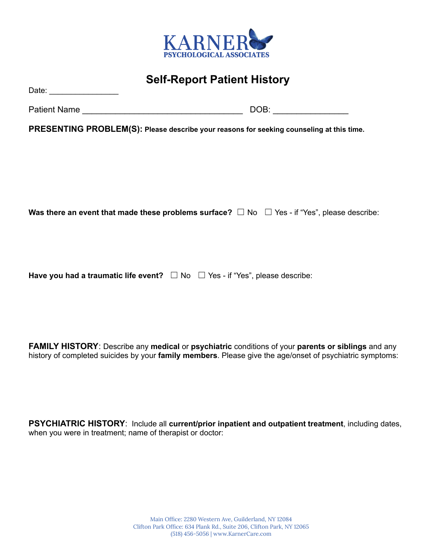

Patient Name **Example 2018** and 2019 and 2019 and 2019 and 2019 and 2019 and 2019 and 2019 and 2019 and 2019 and 2019 and 2019 and 2019 and 2019 and 2019 and 2019 and 2019 and 2019 and 2019 and 2019 and 2019 and 2019 and 2

**PRESENTING PROBLEM(S): Please describe your reasons for seeking counseling at this time.**

**Was there an event that made these problems surface?** ☐ No ☐ Yes - if "Yes", please describe:

**Have you had a traumatic life event?** ☐ No ☐ Yes - if "Yes", please describe:

**FAMILY HISTORY**: Describe any **medical** or **psychiatric** conditions of your **parents or siblings** and any history of completed suicides by your **family members**. Please give the age/onset of psychiatric symptoms:

**PSYCHIATRIC HISTORY**: Include all **current/prior inpatient and outpatient treatment**, including dates, when you were in treatment; name of therapist or doctor: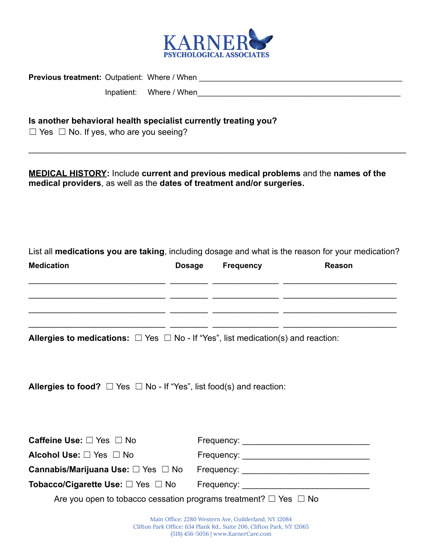

**Previous treatment:** Outpatient: Where / When \_\_\_\_\_\_\_\_\_\_\_\_\_\_\_\_\_\_\_\_\_\_\_\_\_\_\_\_\_\_\_\_\_\_\_\_\_\_\_\_\_\_\_\_\_\_\_

Inpatient: Where / When

#### **Is another behavioral health specialist currently treating you?**

 $\Box$  Yes  $\Box$  No. If yes, who are you seeing?

**MEDICAL HISTORY:** Include **current and previous medical problems** and the **names of the medical providers**, as well as the **dates of treatment and/or surgeries.**

 $\_$ 

List all **medications you are taking**, including dosage and what is the reason for your medication?

| <b>Medication</b> | <b>Dosage</b> | Frequency | Reason |
|-------------------|---------------|-----------|--------|
|                   |               |           |        |
|                   |               |           |        |
|                   |               |           |        |

**Allergies to medications:**  $\Box$  Yes  $\Box$  No - If "Yes", list medication(s) and reaction:

**Allergies to food?**  $\Box$  Yes  $\Box$  No - If "Yes", list food(s) and reaction:

| <b>Caffeine Use:</b> $\Box$ Yes $\Box$ No                                  | Frequency: __________________________________ |  |  |
|----------------------------------------------------------------------------|-----------------------------------------------|--|--|
| Alcohol Use: $\Box$ Yes $\Box$ No                                          | Frequency: _____________________________      |  |  |
| <b>Cannabis/Marijuana Use:</b> $\square$ Yes $\square$ No                  | Frequency: ____________________________       |  |  |
| Tobacco/Cigarette Use: $\Box$ Yes $\Box$ No                                |                                               |  |  |
| Are you open to tobacco cessation programs treatment? $\Box$ Yes $\Box$ No |                                               |  |  |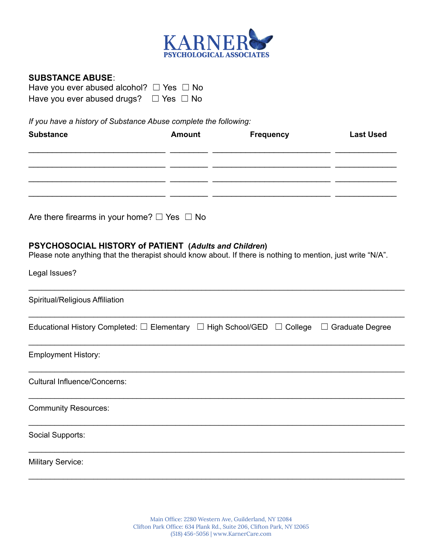

#### **SUBSTANCE ABUSE**:

| Have you ever abused alcohol? $\Box$ Yes $\Box$ No |  |
|----------------------------------------------------|--|
| Have you ever abused drugs? $\Box$ Yes $\Box$ No   |  |

*If you have a history of Substance Abuse complete the following:*

| <b>Substance</b> | <b>Amount</b> | <b>Frequency</b> | <b>Last Used</b> |
|------------------|---------------|------------------|------------------|
|                  |               |                  |                  |
|                  |               |                  |                  |
|                  |               |                  |                  |

Are there firearms in your home?  $\Box$  Yes  $\Box$  No

### **PSYCHOSOCIAL HISTORY of PATIENT (***Adults and Children***)**

Please note anything that the therapist should know about. If there is nothing to mention, just write "N/A".

| Legal Issues?                                                                                                    |
|------------------------------------------------------------------------------------------------------------------|
| Spiritual/Religious Affiliation                                                                                  |
| Educational History Completed: $\square$ Elementary $\Box$ High School/GED $\Box$ College $\Box$ Graduate Degree |
| <b>Employment History:</b>                                                                                       |
| <b>Cultural Influence/Concerns:</b>                                                                              |
| <b>Community Resources:</b>                                                                                      |
| Social Supports:                                                                                                 |
| <b>Military Service:</b>                                                                                         |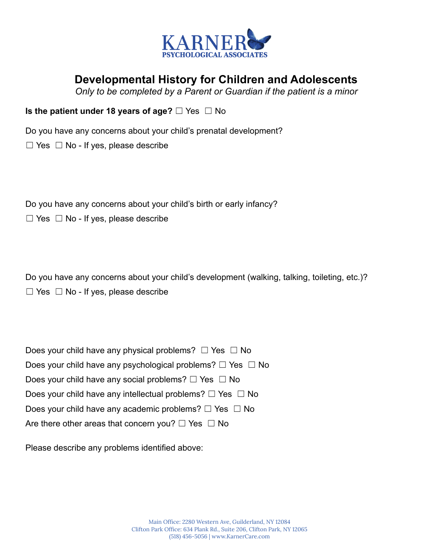

## **Developmental History for Children and Adolescents**

*Only to be completed by a Parent or Guardian if the patient is a minor*

**Is the patient under 18 years of age?** □ Yes □ No

Do you have any concerns about your child's prenatal development?

 $\Box$  Yes  $\Box$  No - If yes, please describe

Do you have any concerns about your child's birth or early infancy?

 $\Box$  Yes  $\Box$  No - If yes, please describe

Do you have any concerns about your child's development (walking, talking, toileting, etc.)?  $\Box$  Yes  $\Box$  No - If yes, please describe

| Does your child have any physical problems? $\Box$ Yes $\Box$ No      |
|-----------------------------------------------------------------------|
| Does your child have any psychological problems? $\Box$ Yes $\Box$ No |
| Does your child have any social problems? $\Box$ Yes $\Box$ No        |
| Does your child have any intellectual problems? $\Box$ Yes $\Box$ No  |
| Does your child have any academic problems? $\Box$ Yes $\Box$ No      |
| Are there other areas that concern you? $\Box$ Yes $\Box$ No          |

Please describe any problems identified above: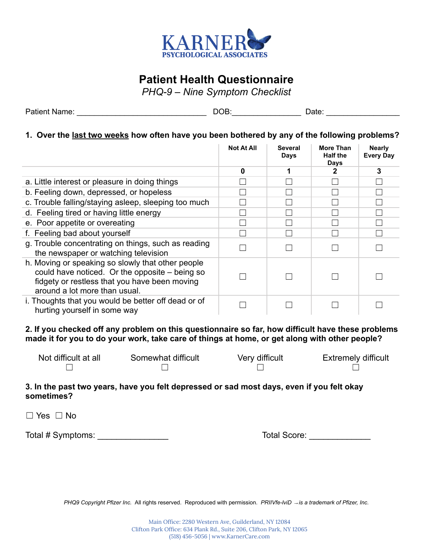

## **Patient Health Questionnaire**

*PHQ-9 – Nine Symptom Checklist*

| <b>Patient Name:</b> | ---<br>۱⊢<br>м | $1 - + -$<br>721 E |
|----------------------|----------------|--------------------|
|                      | .<br>. .       | ∽<br>.             |

#### **1. Over the last two weeks how often have you been bothered by any of the following problems?**

|                                                                                                                                                                                       | <b>Not At All</b> | <b>Several</b><br>Days | More Than<br><b>Half the</b><br>Days | <b>Nearly</b><br><b>Every Day</b> |
|---------------------------------------------------------------------------------------------------------------------------------------------------------------------------------------|-------------------|------------------------|--------------------------------------|-----------------------------------|
|                                                                                                                                                                                       | $\bf{0}$          |                        | 2                                    | 3                                 |
| a. Little interest or pleasure in doing things                                                                                                                                        |                   |                        |                                      |                                   |
| b. Feeling down, depressed, or hopeless                                                                                                                                               |                   |                        |                                      |                                   |
| c. Trouble falling/staying asleep, sleeping too much                                                                                                                                  |                   |                        |                                      |                                   |
| d. Feeling tired or having little energy                                                                                                                                              |                   |                        |                                      |                                   |
| e. Poor appetite or overeating                                                                                                                                                        |                   |                        |                                      |                                   |
| f. Feeling bad about yourself                                                                                                                                                         |                   |                        |                                      |                                   |
| g. Trouble concentrating on things, such as reading<br>the newspaper or watching television                                                                                           |                   |                        |                                      |                                   |
| h. Moving or speaking so slowly that other people<br>could have noticed. Or the opposite - being so<br>fidgety or restless that you have been moving<br>around a lot more than usual. |                   |                        |                                      |                                   |
| i. Thoughts that you would be better off dead or of<br>hurting yourself in some way                                                                                                   |                   |                        |                                      |                                   |

**2. If you checked off any problem on this questionnaire so far, how difficult have these problems** made it for you to do your work, take care of things at home, or get along with other people?

| Not difficult at all | Somewhat difficult | Very difficult | <b>Extremely difficult</b> |
|----------------------|--------------------|----------------|----------------------------|
|                      |                    |                |                            |

#### **3. In the past two years, have you felt depressed or sad most days, even if you felt okay sometimes?**

☐ Yes ☐ No

Total # Symptoms: \_\_\_\_\_\_\_\_\_\_\_\_\_\_\_ Total Score: \_\_\_\_\_\_\_\_\_\_\_\_\_

*PHQ9 Copyright Pfizer Inc.* All rights reserved. Reproduced with permission. *PRIIVfe-lviD* <sup>→</sup>*is a trademark of Pfizer, Inc.*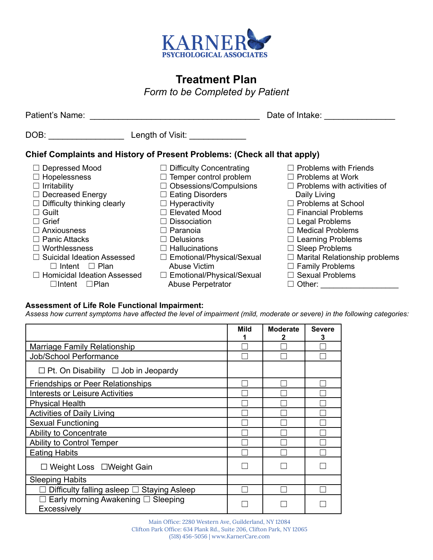

# **Treatment Plan**

*Form to be Completed by Patient*

| Patient's Name:                                                                                                                                                                                                                                                                                                                                                               | Date of Intake:                                                                                                                                                                                                                                                                                                                                                                                               |                                                                                                                                                                                                                                                                                                                                                                                               |
|-------------------------------------------------------------------------------------------------------------------------------------------------------------------------------------------------------------------------------------------------------------------------------------------------------------------------------------------------------------------------------|---------------------------------------------------------------------------------------------------------------------------------------------------------------------------------------------------------------------------------------------------------------------------------------------------------------------------------------------------------------------------------------------------------------|-----------------------------------------------------------------------------------------------------------------------------------------------------------------------------------------------------------------------------------------------------------------------------------------------------------------------------------------------------------------------------------------------|
| DOB: ____________                                                                                                                                                                                                                                                                                                                                                             | Length of Visit: <u>New York of Visit</u>                                                                                                                                                                                                                                                                                                                                                                     |                                                                                                                                                                                                                                                                                                                                                                                               |
|                                                                                                                                                                                                                                                                                                                                                                               | Chief Complaints and History of Present Problems: (Check all that apply)                                                                                                                                                                                                                                                                                                                                      |                                                                                                                                                                                                                                                                                                                                                                                               |
| $\Box$ Depressed Mood<br>$\Box$ Hopelessness<br>$\Box$ Irritability<br>$\Box$ Decreased Energy<br>$\Box$ Difficulty thinking clearly<br>$\Box$ Guilt<br>Grief<br>$\sqsupset$ Anxiousness<br>$\Box$ Panic Attacks<br>$\Box$ Worthlessness<br>$\Box$ Suicidal Ideation Assessed<br>$\Box$ Intent $\Box$ Plan<br>$\Box$ Homicidal Ideation Assessed<br>$\Box$ Intent $\Box$ Plan | $\Box$ Difficulty Concentrating<br>$\Box$ Temper control problem<br>$\Box$ Obsessions/Compulsions<br>$\Box$ Eating Disorders<br>$\Box$ Hyperactivity<br>$\Box$ Elevated Mood<br><b>Dissociation</b><br>$\perp$<br>$\Box$ Paranoia<br><b>Delusions</b><br>$\perp$<br>$\Box$ Hallucinations<br>$\Box$ Emotional/Physical/Sexual<br>Abuse Victim<br>$\Box$ Emotional/Physical/Sexual<br><b>Abuse Perpetrator</b> | $\Box$ Problems with Friends<br>$\Box$ Problems at Work<br>$\Box$ Problems with activities of<br>Daily Living<br>$\Box$ Problems at School<br>$\Box$ Financial Problems<br>$\Box$ Legal Problems<br>$\Box$ Medical Problems<br>$\Box$ Learning Problems<br>$\Box$ Sleep Problems<br>$\Box$ Marital Relationship problems<br>$\Box$ Family Problems<br>$\Box$ Sexual Problems<br>$\Box$ Other: |

#### **Assessment of Life Role Functional Impairment:**

Assess how current symptoms have affected the level of impairment (mild, moderate or severe) in the following categories:

|                                                   | Mild | <b>Moderate</b><br>2 | <b>Severe</b><br>3 |
|---------------------------------------------------|------|----------------------|--------------------|
| Marriage Family Relationship                      |      |                      |                    |
| Job/School Performance                            |      |                      |                    |
| $\Box$ Pt. On Disability $\Box$ Job in Jeopardy   |      |                      |                    |
| <b>Friendships or Peer Relationships</b>          |      |                      |                    |
| <b>Interests or Leisure Activities</b>            |      |                      |                    |
| <b>Physical Health</b>                            |      |                      |                    |
| <b>Activities of Daily Living</b>                 |      |                      |                    |
| <b>Sexual Functioning</b>                         |      |                      |                    |
| Ability to Concentrate                            |      |                      |                    |
| Ability to Control Temper                         |      |                      |                    |
| <b>Eating Habits</b>                              |      |                      |                    |
| □ Weight Loss □ Weight Gain                       |      |                      |                    |
| <b>Sleeping Habits</b>                            |      |                      |                    |
| Difficulty falling asleep □ Staying Asleep        |      |                      |                    |
| Early morning Awakening □ Sleeping<br>Excessively |      |                      |                    |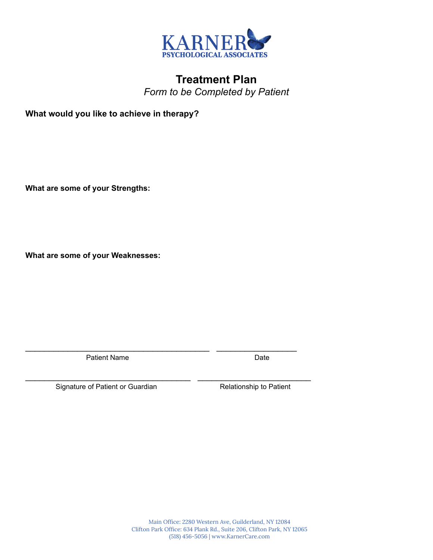

## **Treatment Plan** *Form to be Completed by Patient*

**What would you like to achieve in therapy?**

**What are some of your Strengths:**

**What are some of your Weaknesses:**

Patient Name Date

 $\mathcal{L}_\text{max} = \frac{1}{2} \sum_{i=1}^{n} \frac{1}{2} \sum_{i=1}^{n} \frac{1}{2} \sum_{i=1}^{n} \frac{1}{2} \sum_{i=1}^{n} \frac{1}{2} \sum_{i=1}^{n} \frac{1}{2} \sum_{i=1}^{n} \frac{1}{2} \sum_{i=1}^{n} \frac{1}{2} \sum_{i=1}^{n} \frac{1}{2} \sum_{i=1}^{n} \frac{1}{2} \sum_{i=1}^{n} \frac{1}{2} \sum_{i=1}^{n} \frac{1}{2} \sum_{i=1}^{n} \frac{1$ 

\_\_\_\_\_\_\_\_\_\_\_\_\_\_\_\_\_\_\_\_\_\_\_\_\_\_\_\_\_\_\_\_\_\_\_ \_\_\_\_\_\_\_\_\_\_\_\_\_\_\_\_\_\_\_\_\_\_\_\_

Signature of Patient or Guardian Relationship to Patient